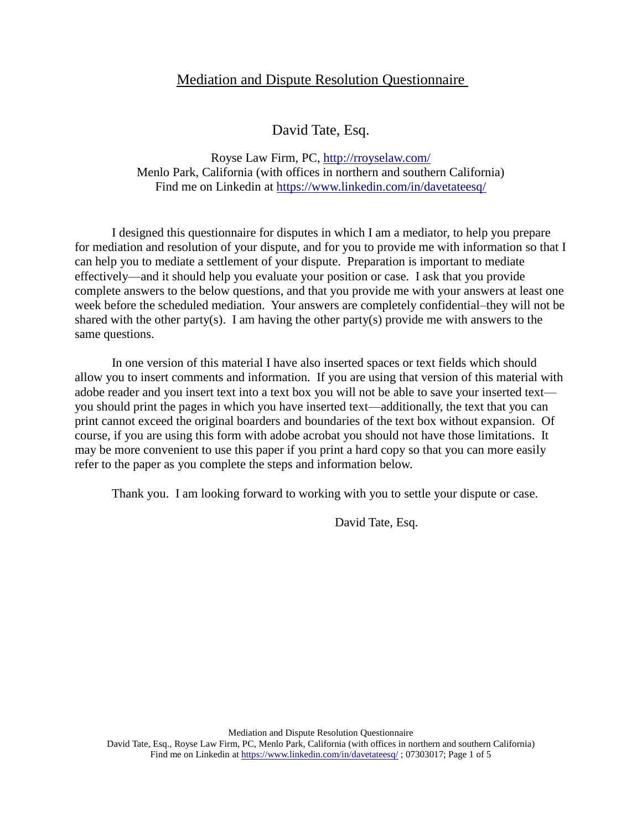## Mediation and Dispute Resolution Questionnaire

David Tate, Esq.

Royse Law Firm, PC,<http://rroyselaw.com/> Menlo Park, California (with offices in northern and southern California) Find me on Linkedin at<https://www.linkedin.com/in/davetateesq/>

I designed this questionnaire for disputes in which I am a mediator, to help you prepare for mediation and resolution of your dispute, and for you to provide me with information so that I can help you to mediate a settlement of your dispute. Preparation is important to mediate effectively—and it should help you evaluate your position or case. I ask that you provide complete answers to the below questions, and that you provide me with your answers at least one week before the scheduled mediation. Your answers are completely confidential–they will not be shared with the other party(s). I am having the other party(s) provide me with answers to the same questions.

In one version of this material I have also inserted spaces or text fields which should allow you to insert comments and information. If you are using that version of this material with adobe reader and you insert text into a text box you will not be able to save your inserted text you should print the pages in which you have inserted text—additionally, the text that you can print cannot exceed the original boarders and boundaries of the text box without expansion. Of course, if you are using this form with adobe acrobat you should not have those limitations. It may be more convenient to use this paper if you print a hard copy so that you can more easily refer to the paper as you complete the steps and information below.

Thank you. I am looking forward to working with you to settle your dispute or case.

David Tate, Esq.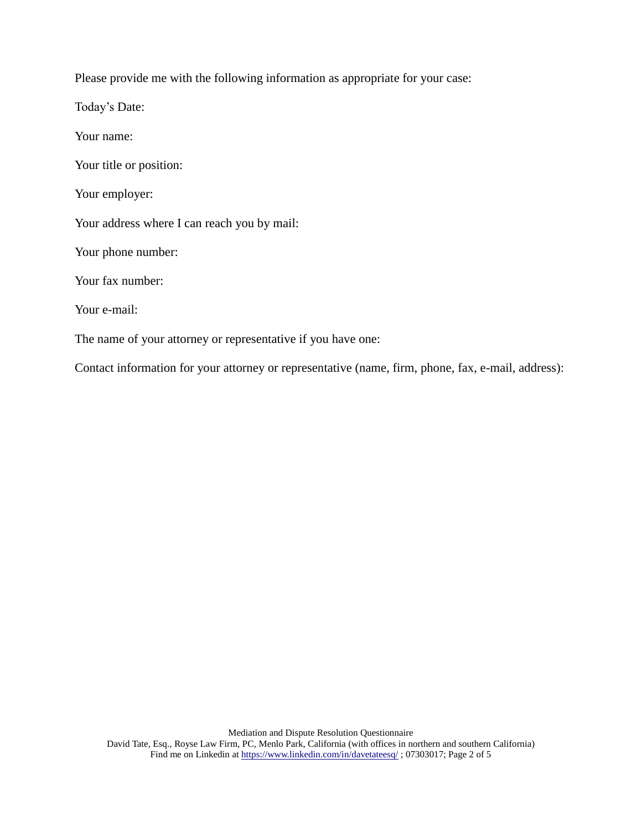Please provide me with the following information as appropriate for your case:

Today's Date:

Your name:

Your title or position:

Your employer:

Your address where I can reach you by mail:

Your phone number:

Your fax number:

Your e-mail:

The name of your attorney or representative if you have one:

Contact information for your attorney or representative (name, firm, phone, fax, e-mail, address):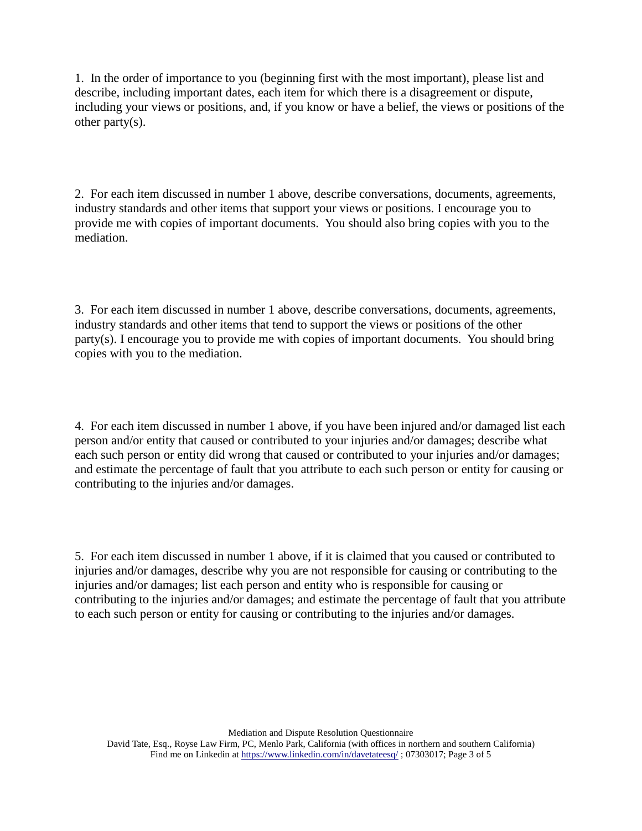1. In the order of importance to you (beginning first with the most important), please list and describe, including important dates, each item for which there is a disagreement or dispute, including your views or positions, and, if you know or have a belief, the views or positions of the other party $(s)$ .

2. For each item discussed in number 1 above, describe conversations, documents, agreements, industry standards and other items that support your views or positions. I encourage you to provide me with copies of important documents. You should also bring copies with you to the mediation.

3. For each item discussed in number 1 above, describe conversations, documents, agreements, industry standards and other items that tend to support the views or positions of the other party(s). I encourage you to provide me with copies of important documents. You should bring copies with you to the mediation.

4. For each item discussed in number 1 above, if you have been injured and/or damaged list each person and/or entity that caused or contributed to your injuries and/or damages; describe what each such person or entity did wrong that caused or contributed to your injuries and/or damages; and estimate the percentage of fault that you attribute to each such person or entity for causing or contributing to the injuries and/or damages.

5. For each item discussed in number 1 above, if it is claimed that you caused or contributed to injuries and/or damages, describe why you are not responsible for causing or contributing to the injuries and/or damages; list each person and entity who is responsible for causing or contributing to the injuries and/or damages; and estimate the percentage of fault that you attribute to each such person or entity for causing or contributing to the injuries and/or damages.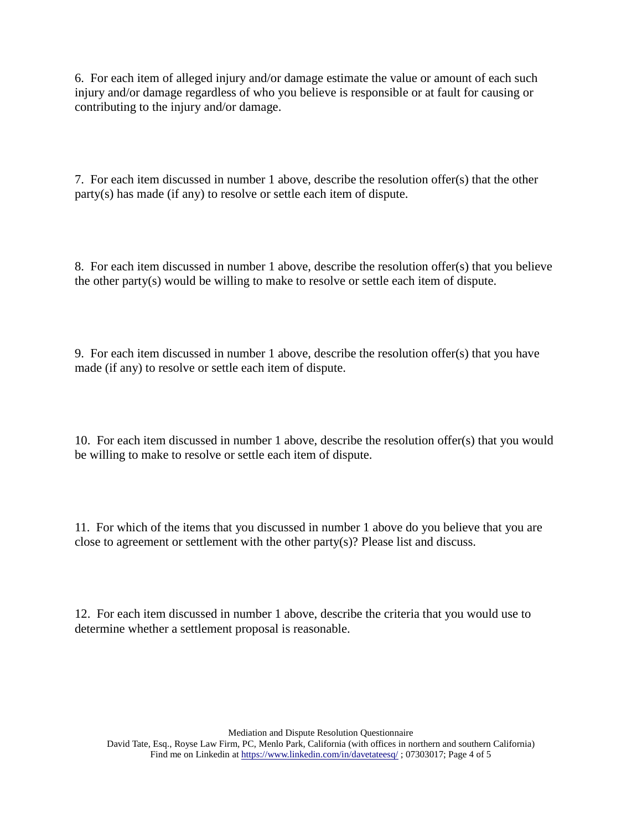6. For each item of alleged injury and/or damage estimate the value or amount of each such injury and/or damage regardless of who you believe is responsible or at fault for causing or contributing to the injury and/or damage.

7. For each item discussed in number 1 above, describe the resolution offer(s) that the other party(s) has made (if any) to resolve or settle each item of dispute.

8. For each item discussed in number 1 above, describe the resolution offer(s) that you believe the other party(s) would be willing to make to resolve or settle each item of dispute.

9. For each item discussed in number 1 above, describe the resolution offer(s) that you have made (if any) to resolve or settle each item of dispute.

10. For each item discussed in number 1 above, describe the resolution offer(s) that you would be willing to make to resolve or settle each item of dispute.

11. For which of the items that you discussed in number 1 above do you believe that you are close to agreement or settlement with the other party(s)? Please list and discuss.

12. For each item discussed in number 1 above, describe the criteria that you would use to determine whether a settlement proposal is reasonable.

Mediation and Dispute Resolution Questionnaire

David Tate, Esq., Royse Law Firm, PC, Menlo Park, California (with offices in northern and southern California) Find me on Linkedin a[t https://www.linkedin.com/in/davetateesq/](https://www.linkedin.com/in/davetateesq/); 07303017; Page 4 of 5